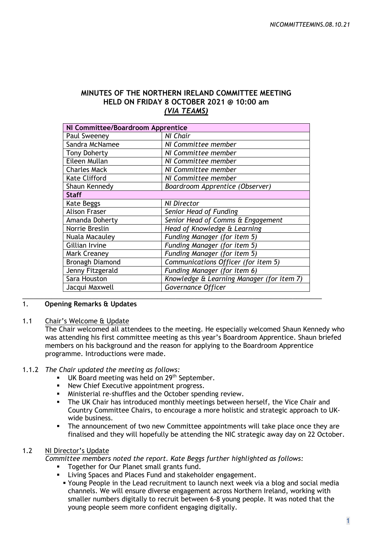# **MINUTES OF THE NORTHERN IRELAND COMMITTEE MEETING HELD ON FRIDAY 8 OCTOBER 2021 @ 10:00 am** *(VIA TEAMS)*

| Paul Sweeney           | NI Chair                                  |
|------------------------|-------------------------------------------|
| Sandra McNamee         | NI Committee member                       |
| <b>Tony Doherty</b>    | NI Committee member                       |
| Eileen Mullan          | NI Committee member                       |
| <b>Charles Mack</b>    | NI Committee member                       |
| <b>Kate Clifford</b>   | NI Committee member                       |
| Shaun Kennedy          | Boardroom Apprentice (Observer)           |
| <b>Staff</b>           |                                           |
| Kate Beggs             | <b>NI Director</b>                        |
| <b>Alison Fraser</b>   | Senior Head of Funding                    |
| Amanda Doherty         | Senior Head of Comms & Engagement         |
| Norrie Breslin         | Head of Knowledge & Learning              |
| Nuala Macauley         | Funding Manager (for item 5)              |
| Gillian Irvine         | Funding Manager (for item 5)              |
| <b>Mark Creaney</b>    | Funding Manager (for item 5)              |
| <b>Bronagh Diamond</b> | Communications Officer (for item 5)       |
| Jenny Fitzgerald       | Funding Manager (for item 6)              |
| Sara Houston           | Knowledge & Learning Manager (for item 7) |
| Jacqui Maxwell         | Governance Officer                        |

### 1. **Opening Remarks & Updates**

#### 1.1 Chair's Welcome & Update

The Chair welcomed all attendees to the meeting. He especially welcomed Shaun Kennedy who was attending his first committee meeting as this year's Boardroom Apprentice. Shaun briefed members on his background and the reason for applying to the Boardroom Apprentice programme. Introductions were made.

#### 1.1.2 *The Chair updated the meeting as follows:*

- UK Board meeting was held on 29<sup>th</sup> September.
- **New Chief Executive appointment progress.**
- Ministerial re-shuffles and the October spending review.
- The UK Chair has introduced monthly meetings between herself, the Vice Chair and Country Committee Chairs, to encourage a more holistic and strategic approach to UKwide business.
- The announcement of two new Committee appointments will take place once they are finalised and they will hopefully be attending the NIC strategic away day on 22 October.

#### 1.2 NI Director's Update

*Committee members noted the report. Kate Beggs further highlighted as follows:*

- **Together for Our Planet small grants fund.**
- **EXECT:** Living Spaces and Places Fund and stakeholder engagement.
	- Young People in the Lead recruitment to launch next week via a blog and social media channels. We will ensure diverse engagement across Northern Ireland, working with smaller numbers digitally to recruit between 6-8 young people. It was noted that the young people seem more confident engaging digitally.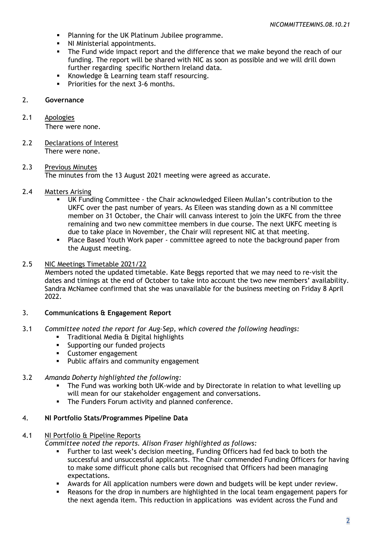- **Planning for the UK Platinum Jubilee programme.**
- NI Ministerial appointments.
- The Fund wide impact report and the difference that we make beyond the reach of our funding. The report will be shared with NIC as soon as possible and we will drill down further regarding specific Northern Ireland data.
- Knowledge & Learning team staff resourcing.
- Priorities for the next 3-6 months.

### 2. **Governance**

# 2.1 Apologies

There were none.

- 2.2 Declarations of Interest There were none.
- 2.3 Previous Minutes The minutes from the 13 August 2021 meeting were agreed as accurate.

# 2.4 Matters Arising

- UK Funding Committee the Chair acknowledged Eileen Mullan's contribution to the UKFC over the past number of years. As Eileen was standing down as a NI committee member on 31 October, the Chair will canvass interest to join the UKFC from the three remaining and two new committee members in due course. The next UKFC meeting is due to take place in November, the Chair will represent NIC at that meeting.
- Place Based Youth Work paper committee agreed to note the background paper from the August meeting.

### 2.5 NIC Meetings Timetable 2021/22

Members noted the updated timetable. Kate Beggs reported that we may need to re-visit the dates and timings at the end of October to take into account the two new members' availability. Sandra McNamee confirmed that she was unavailable for the business meeting on Friday 8 April 2022.

#### 3. **Communications & Engagement Report**

- 3.1 *Committee noted the report for Aug-Sep, which covered the following headings:*
	- **Traditional Media & Digital highlights**
	- **Supporting our funded projects**
	- Customer engagement
	- **Public affairs and community engagement**
- 3.2 *Amanda Doherty highlighted the following:*
	- The Fund was working both UK-wide and by Directorate in relation to what levelling up will mean for our stakeholder engagement and conversations.
	- **The Funders Forum activity and planned conference.**

#### 4. **NI Portfolio Stats/Programmes Pipeline Data**

#### 4.1 NI Portfolio & Pipeline Reports

*Committee noted the reports. Alison Fraser highlighted as follows:*

- Further to last week's decision meeting, Funding Officers had fed back to both the successful and unsuccessful applicants. The Chair commended Funding Officers for having to make some difficult phone calls but recognised that Officers had been managing expectations.
- Awards for All application numbers were down and budgets will be kept under review.
- Reasons for the drop in numbers are highlighted in the local team engagement papers for the next agenda item. This reduction in applications was evident across the Fund and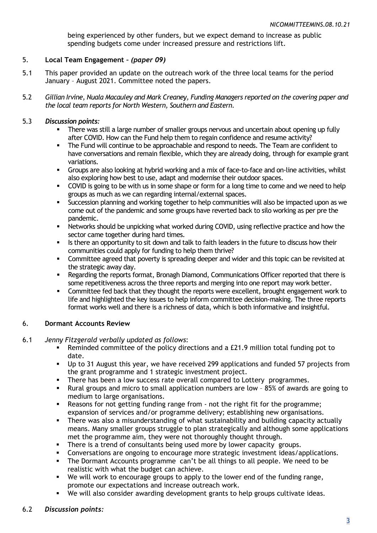being experienced by other funders, but we expect demand to increase as public spending budgets come under increased pressure and restrictions lift.

# 5. **Local Team Engagement –** *(paper 09)*

- 5.1 This paper provided an update on the outreach work of the three local teams for the period January – August 2021. Committee noted the papers.
- 5.2 *Gillian Irvine, Nuala Macauley and Mark Creaney, Funding Managers reported on the covering paper and the local team reports for North Western, Southern and Eastern*.

### 5.3 *Discussion points:*

- There was still a large number of smaller groups nervous and uncertain about opening up fully after COVID. How can the Fund help them to regain confidence and resume activity?
- The Fund will continue to be approachable and respond to needs. The Team are confident to have conversations and remain flexible, which they are already doing, through for example grant variations.
- Groups are also looking at hybrid working and a mix of face-to-face and on-line activities, whilst also exploring how best to use, adapt and modernise their outdoor spaces.
- COVID is going to be with us in some shape or form for a long time to come and we need to help groups as much as we can regarding internal/external spaces.
- Succession planning and working together to help communities will also be impacted upon as we come out of the pandemic and some groups have reverted back to silo working as per pre the pandemic.
- **Networks should be unpicking what worked during COVID, using reflective practice and how the** sector came together during hard times.
- Is there an opportunity to sit down and talk to faith leaders in the future to discuss how their communities could apply for funding to help them thrive?
- Committee agreed that poverty is spreading deeper and wider and this topic can be revisited at the strategic away day.
- Regarding the reports format, Bronagh Diamond, Communications Officer reported that there is some repetitiveness across the three reports and merging into one report may work better.
- **•** Committee fed back that they thought the reports were excellent, brought engagement work to life and highlighted the key issues to help inform committee decision-making. The three reports format works well and there is a richness of data, which is both informative and insightful.

#### 6. **Dormant Accounts Review**

- 6.1 *Jenny Fitzgerald verbally updated as follows*:
	- Reminded committee of the policy directions and a £21.9 million total funding pot to date.
	- Up to 31 August this year, we have received 299 applications and funded 57 projects from the grant programme and 1 strategic investment project.
	- There has been a low success rate overall compared to Lottery programmes.
	- Rural groups and micro to small application numbers are low 85% of awards are going to medium to large organisations.
	- Reasons for not getting funding range from not the right fit for the programme; expansion of services and/or programme delivery; establishing new organisations.
	- There was also a misunderstanding of what sustainability and building capacity actually means. Many smaller groups struggle to plan strategically and although some applications met the programme aim, they were not thoroughly thought through.
	- There is a trend of consultants being used more by lower capacity groups.
	- Conversations are ongoing to encourage more strategic investment ideas/applications.
	- The Dormant Accounts programme can't be all things to all people. We need to be realistic with what the budget can achieve.
	- We will work to encourage groups to apply to the lower end of the funding range, promote our expectations and increase outreach work.
	- We will also consider awarding development grants to help groups cultivate ideas.

# 6.2 *Discussion points:*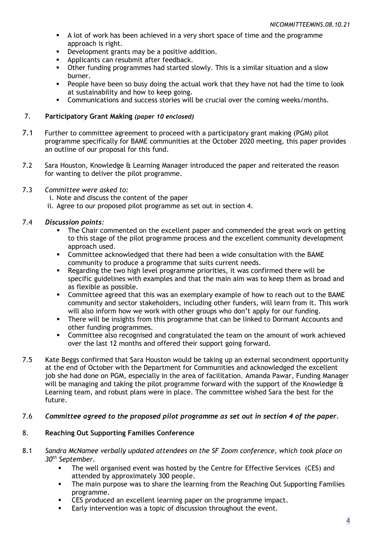- A lot of work has been achieved in a very short space of time and the programme approach is right.
- **•** Development grants may be a positive addition.
- **Applicants can resubmit after feedback.**
- Other funding programmes had started slowly. This is a similar situation and a slow burner.
- **People have been so busy doing the actual work that they have not had the time to look** at sustainability and how to keep going.
- **Communications and success stories will be crucial over the coming weeks/months.**

### 7. **Participatory Grant Making** *(paper 10 enclosed)*

- 7.1 Further to committee agreement to proceed with a participatory grant making (PGM) pilot programme specifically for BAME communities at the October 2020 meeting, this paper provides an outline of our proposal for this fund.
- 7.2 Sara Houston, Knowledge & Learning Manager introduced the paper and reiterated the reason for wanting to deliver the pilot programme.
- 7.3 *Committee were asked to:*

i. Note and discuss the content of the paper

ii. Agree to our proposed pilot programme as set out in section 4.

# 7.4 *Discussion points:*

- The Chair commented on the excellent paper and commended the great work on getting to this stage of the pilot programme process and the excellent community development approach used.
- Committee acknowledged that there had been a wide consultation with the BAME community to produce a programme that suits current needs.
- Regarding the two high level programme priorities, it was confirmed there will be specific guidelines with examples and that the main aim was to keep them as broad and as flexible as possible.
- **Committee agreed that this was an exemplary example of how to reach out to the BAME** community and sector stakeholders, including other funders, will learn from it. This work will also inform how we work with other groups who don't apply for our funding.
- There will be insights from this programme that can be linked to Dormant Accounts and other funding programmes.
- Committee also recognised and congratulated the team on the amount of work achieved over the last 12 months and offered their support going forward.
- 7.5 Kate Beggs confirmed that Sara Houston would be taking up an external secondment opportunity at the end of October with the Department for Communities and acknowledged the excellent job she had done on PGM, especially in the area of facilitation. Amanda Pawar, Funding Manager will be managing and taking the pilot programme forward with the support of the Knowledge & Learning team, and robust plans were in place. The committee wished Sara the best for the future.

#### 7.6 *Committee agreed to the proposed pilot programme as set out in section 4 of the paper.*

# 8. **Reaching Out Supporting Families Conference**

- 8.1 *Sandra McNamee verbally updated attendees on the SF Zoom conference, which took place on 30th September.*
	- The well organised event was hosted by the Centre for Effective Services (CES) and attended by approximately 300 people.
	- The main purpose was to share the learning from the Reaching Out Supporting Families programme.
	- CES produced an excellent learning paper on the programme impact.
	- Early intervention was a topic of discussion throughout the event.